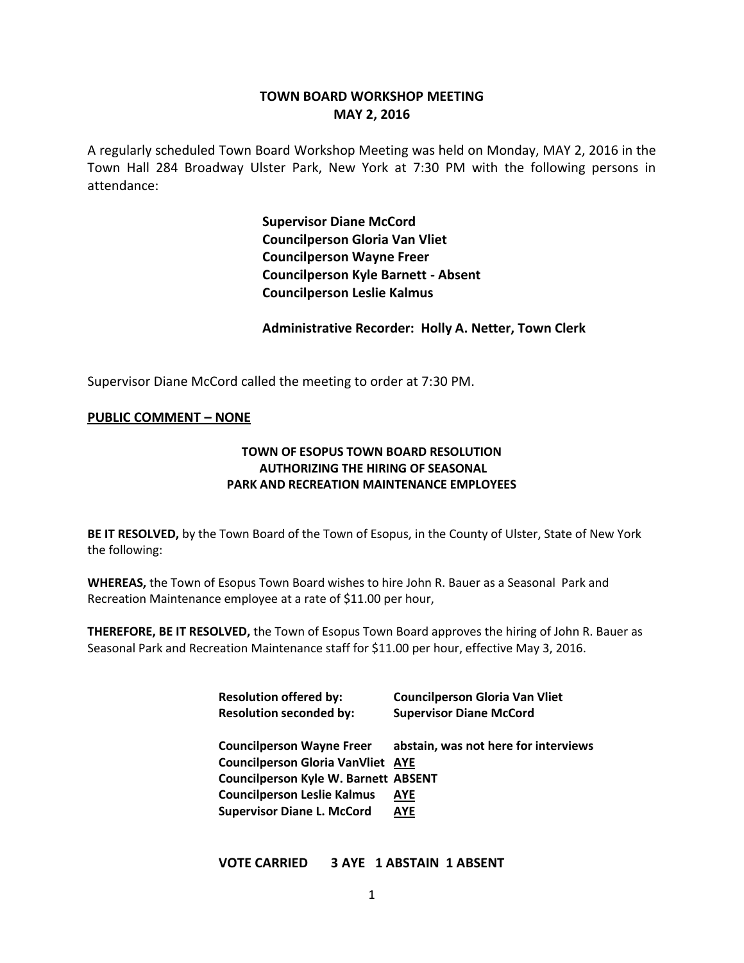# **TOWN BOARD WORKSHOP MEETING MAY 2, 2016**

A regularly scheduled Town Board Workshop Meeting was held on Monday, MAY 2, 2016 in the Town Hall 284 Broadway Ulster Park, New York at 7:30 PM with the following persons in attendance:

> **Supervisor Diane McCord Councilperson Gloria Van Vliet Councilperson Wayne Freer Councilperson Kyle Barnett - Absent Councilperson Leslie Kalmus**

**Administrative Recorder: Holly A. Netter, Town Clerk**

Supervisor Diane McCord called the meeting to order at 7:30 PM.

#### **PUBLIC COMMENT – NONE**

### **TOWN OF ESOPUS TOWN BOARD RESOLUTION AUTHORIZING THE HIRING OF SEASONAL PARK AND RECREATION MAINTENANCE EMPLOYEES**

**BE IT RESOLVED,** by the Town Board of the Town of Esopus, in the County of Ulster, State of New York the following:

**WHEREAS,** the Town of Esopus Town Board wishes to hire John R. Bauer as a Seasonal Park and Recreation Maintenance employee at a rate of \$11.00 per hour,

**THEREFORE, BE IT RESOLVED,** the Town of Esopus Town Board approves the hiring of John R. Bauer as Seasonal Park and Recreation Maintenance staff for \$11.00 per hour, effective May 3, 2016.

| <b>Resolution offered by:</b>               | <b>Councilperson Gloria Van Vliet</b> |
|---------------------------------------------|---------------------------------------|
| <b>Resolution seconded by:</b>              | <b>Supervisor Diane McCord</b>        |
|                                             |                                       |
| <b>Councilperson Wayne Freer</b>            | abstain, was not here for interviews  |
| <b>Councilperson Gloria VanVliet</b>        | <b>AYE</b>                            |
| <b>Councilperson Kyle W. Barnett ABSENT</b> |                                       |
| <b>Councilperson Leslie Kalmus</b>          | AYE                                   |
| <b>Supervisor Diane L. McCord</b>           | AYE                                   |

**VOTE CARRIED 3 AYE 1 ABSTAIN 1 ABSENT**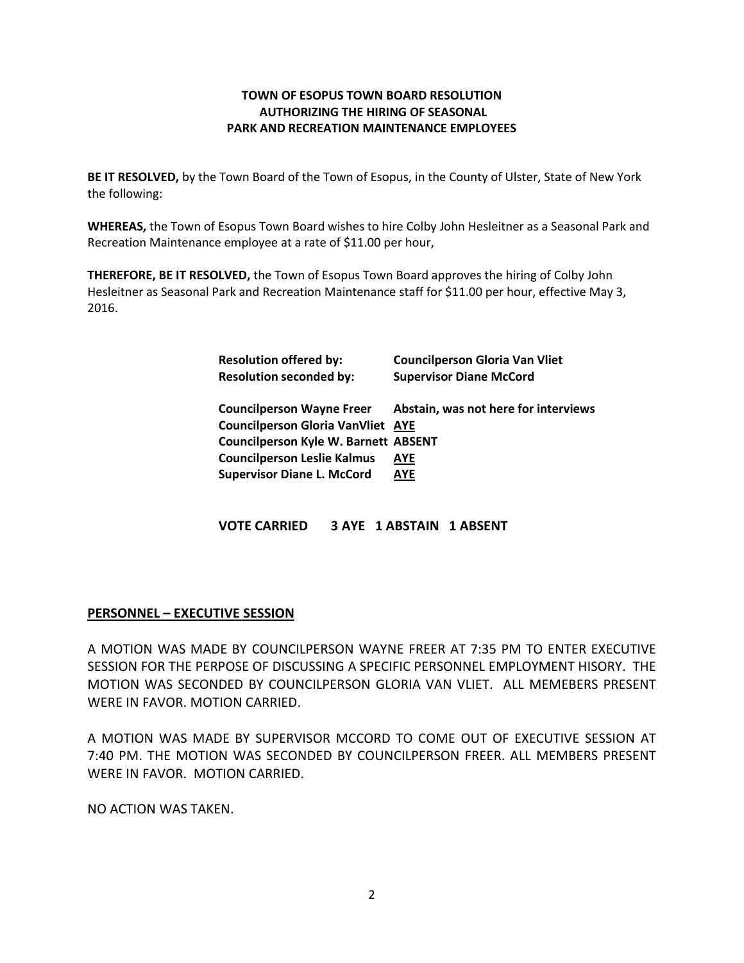#### **TOWN OF ESOPUS TOWN BOARD RESOLUTION AUTHORIZING THE HIRING OF SEASONAL PARK AND RECREATION MAINTENANCE EMPLOYEES**

**BE IT RESOLVED,** by the Town Board of the Town of Esopus, in the County of Ulster, State of New York the following:

**WHEREAS,** the Town of Esopus Town Board wishes to hire Colby John Hesleitner as a Seasonal Park and Recreation Maintenance employee at a rate of \$11.00 per hour,

**THEREFORE, BE IT RESOLVED,** the Town of Esopus Town Board approves the hiring of Colby John Hesleitner as Seasonal Park and Recreation Maintenance staff for \$11.00 per hour, effective May 3, 2016.

| <b>Resolution offered by:</b>               | <b>Councilperson Gloria Van Vliet</b> |
|---------------------------------------------|---------------------------------------|
| <b>Resolution seconded by:</b>              | <b>Supervisor Diane McCord</b>        |
|                                             |                                       |
| <b>Councilperson Wayne Freer</b>            | Abstain, was not here for interviews  |
| <b>Councilperson Gloria VanVliet AYE</b>    |                                       |
| <b>Councilperson Kyle W. Barnett ABSENT</b> |                                       |
| <b>Councilperson Leslie Kalmus</b>          | AYE                                   |
| <b>Supervisor Diane L. McCord</b>           | AYE                                   |

**VOTE CARRIED 3 AYE 1 ABSTAIN 1 ABSENT** 

### **PERSONNEL – EXECUTIVE SESSION**

A MOTION WAS MADE BY COUNCILPERSON WAYNE FREER AT 7:35 PM TO ENTER EXECUTIVE SESSION FOR THE PERPOSE OF DISCUSSING A SPECIFIC PERSONNEL EMPLOYMENT HISORY. THE MOTION WAS SECONDED BY COUNCILPERSON GLORIA VAN VLIET. ALL MEMEBERS PRESENT WERE IN FAVOR. MOTION CARRIED.

A MOTION WAS MADE BY SUPERVISOR MCCORD TO COME OUT OF EXECUTIVE SESSION AT 7:40 PM. THE MOTION WAS SECONDED BY COUNCILPERSON FREER. ALL MEMBERS PRESENT WERE IN FAVOR. MOTION CARRIED.

NO ACTION WAS TAKEN.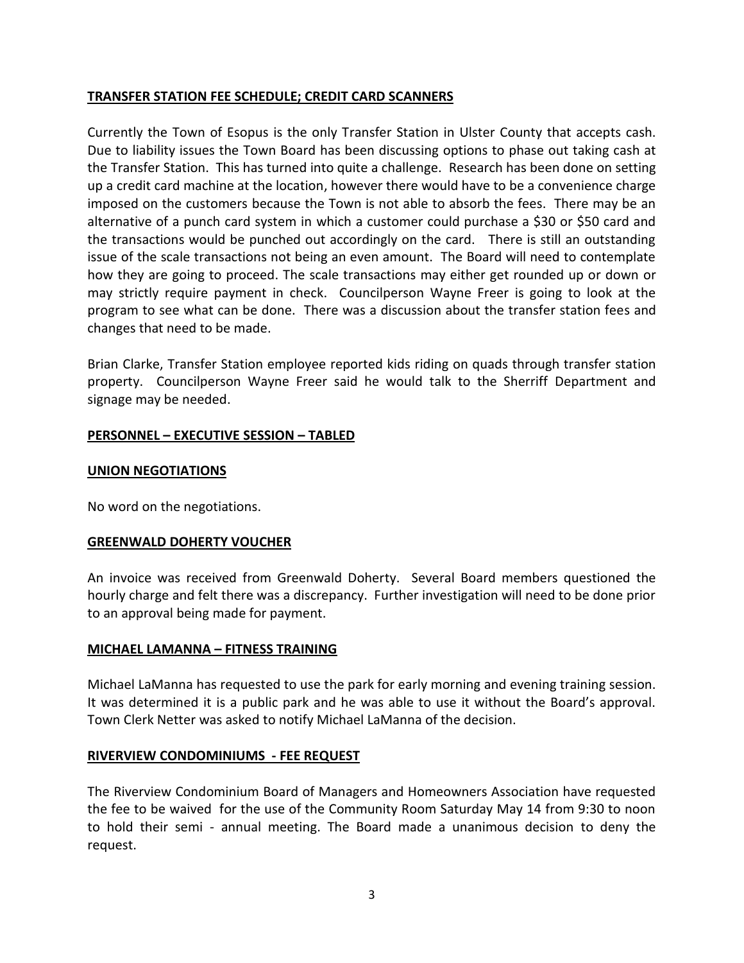## **TRANSFER STATION FEE SCHEDULE; CREDIT CARD SCANNERS**

Currently the Town of Esopus is the only Transfer Station in Ulster County that accepts cash. Due to liability issues the Town Board has been discussing options to phase out taking cash at the Transfer Station. This has turned into quite a challenge. Research has been done on setting up a credit card machine at the location, however there would have to be a convenience charge imposed on the customers because the Town is not able to absorb the fees. There may be an alternative of a punch card system in which a customer could purchase a \$30 or \$50 card and the transactions would be punched out accordingly on the card. There is still an outstanding issue of the scale transactions not being an even amount. The Board will need to contemplate how they are going to proceed. The scale transactions may either get rounded up or down or may strictly require payment in check. Councilperson Wayne Freer is going to look at the program to see what can be done. There was a discussion about the transfer station fees and changes that need to be made.

Brian Clarke, Transfer Station employee reported kids riding on quads through transfer station property. Councilperson Wayne Freer said he would talk to the Sherriff Department and signage may be needed.

# **PERSONNEL – EXECUTIVE SESSION – TABLED**

# **UNION NEGOTIATIONS**

No word on the negotiations.

### **GREENWALD DOHERTY VOUCHER**

An invoice was received from Greenwald Doherty. Several Board members questioned the hourly charge and felt there was a discrepancy. Further investigation will need to be done prior to an approval being made for payment.

### **MICHAEL LAMANNA – FITNESS TRAINING**

Michael LaManna has requested to use the park for early morning and evening training session. It was determined it is a public park and he was able to use it without the Board's approval. Town Clerk Netter was asked to notify Michael LaManna of the decision.

### **RIVERVIEW CONDOMINIUMS - FEE REQUEST**

The Riverview Condominium Board of Managers and Homeowners Association have requested the fee to be waived for the use of the Community Room Saturday May 14 from 9:30 to noon to hold their semi - annual meeting. The Board made a unanimous decision to deny the request.